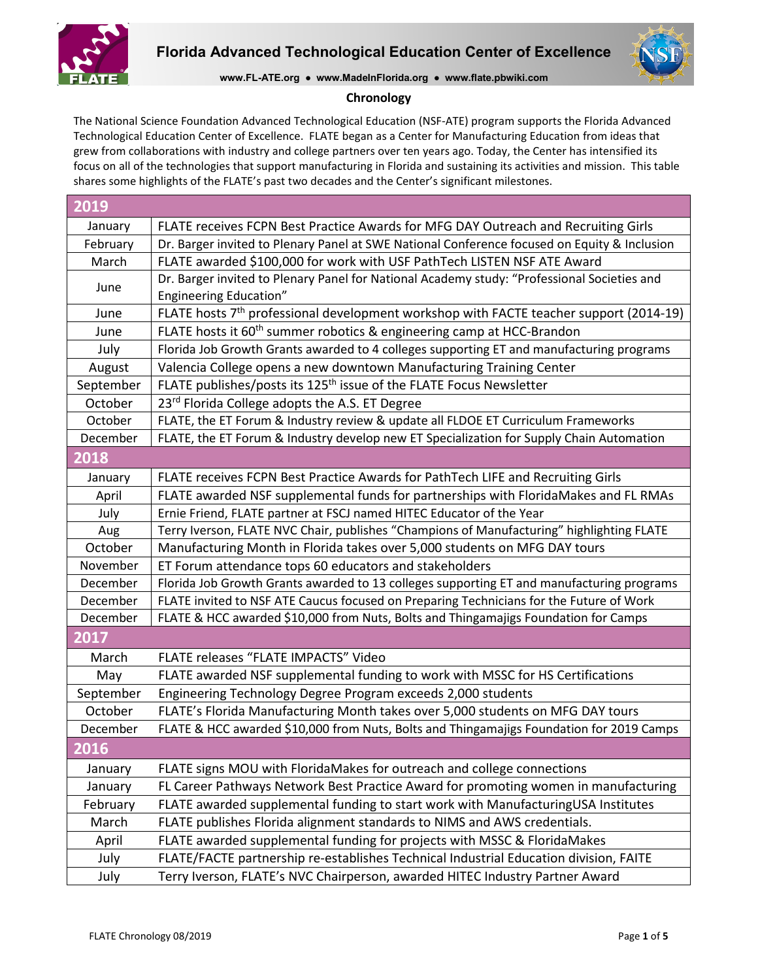



**www.FL-ATE.org ● www.MadeInFlorida.org ● www.flate.pbwiki.com**

### **Chronology**

The National Science Foundation Advanced Technological Education (NSF-ATE) program supports the Florida Advanced Technological Education Center of Excellence. FLATE began as a Center for Manufacturing Education from ideas that grew from collaborations with industry and college partners over ten years ago. Today, the Center has intensified its focus on all of the technologies that support manufacturing in Florida and sustaining its activities and mission. This table shares some highlights of the FLATE's past two decades and the Center's significant milestones.

| 2019      |                                                                                                    |
|-----------|----------------------------------------------------------------------------------------------------|
| January   | FLATE receives FCPN Best Practice Awards for MFG DAY Outreach and Recruiting Girls                 |
| February  | Dr. Barger invited to Plenary Panel at SWE National Conference focused on Equity & Inclusion       |
| March     | FLATE awarded \$100,000 for work with USF PathTech LISTEN NSF ATE Award                            |
| June      | Dr. Barger invited to Plenary Panel for National Academy study: "Professional Societies and        |
|           | <b>Engineering Education"</b>                                                                      |
| June      | FLATE hosts 7 <sup>th</sup> professional development workshop with FACTE teacher support (2014-19) |
| June      | FLATE hosts it 60 <sup>th</sup> summer robotics & engineering camp at HCC-Brandon                  |
| July      | Florida Job Growth Grants awarded to 4 colleges supporting ET and manufacturing programs           |
| August    | Valencia College opens a new downtown Manufacturing Training Center                                |
| September | FLATE publishes/posts its 125 <sup>th</sup> issue of the FLATE Focus Newsletter                    |
| October   | 23rd Florida College adopts the A.S. ET Degree                                                     |
| October   | FLATE, the ET Forum & Industry review & update all FLDOE ET Curriculum Frameworks                  |
| December  | FLATE, the ET Forum & Industry develop new ET Specialization for Supply Chain Automation           |
| 2018      |                                                                                                    |
| January   | FLATE receives FCPN Best Practice Awards for PathTech LIFE and Recruiting Girls                    |
| April     | FLATE awarded NSF supplemental funds for partnerships with FloridaMakes and FL RMAs                |
| July      | Ernie Friend, FLATE partner at FSCJ named HITEC Educator of the Year                               |
| Aug       | Terry Iverson, FLATE NVC Chair, publishes "Champions of Manufacturing" highlighting FLATE          |
| October   | Manufacturing Month in Florida takes over 5,000 students on MFG DAY tours                          |
| November  | ET Forum attendance tops 60 educators and stakeholders                                             |
| December  | Florida Job Growth Grants awarded to 13 colleges supporting ET and manufacturing programs          |
| December  | FLATE invited to NSF ATE Caucus focused on Preparing Technicians for the Future of Work            |
| December  | FLATE & HCC awarded \$10,000 from Nuts, Bolts and Thingamajigs Foundation for Camps                |
| 2017      |                                                                                                    |
| March     | FLATE releases "FLATE IMPACTS" Video                                                               |
| May       | FLATE awarded NSF supplemental funding to work with MSSC for HS Certifications                     |
| September | Engineering Technology Degree Program exceeds 2,000 students                                       |
| October   | FLATE's Florida Manufacturing Month takes over 5,000 students on MFG DAY tours                     |
| December  | FLATE & HCC awarded \$10,000 from Nuts, Bolts and Thingamajigs Foundation for 2019 Camps           |
| 2016      |                                                                                                    |
| January   | FLATE signs MOU with FloridaMakes for outreach and college connections                             |
| January   | FL Career Pathways Network Best Practice Award for promoting women in manufacturing                |
| February  | FLATE awarded supplemental funding to start work with ManufacturingUSA Institutes                  |
| March     | FLATE publishes Florida alignment standards to NIMS and AWS credentials.                           |
| April     | FLATE awarded supplemental funding for projects with MSSC & FloridaMakes                           |
| July      | FLATE/FACTE partnership re-establishes Technical Industrial Education division, FAITE              |
| July      | Terry Iverson, FLATE's NVC Chairperson, awarded HITEC Industry Partner Award                       |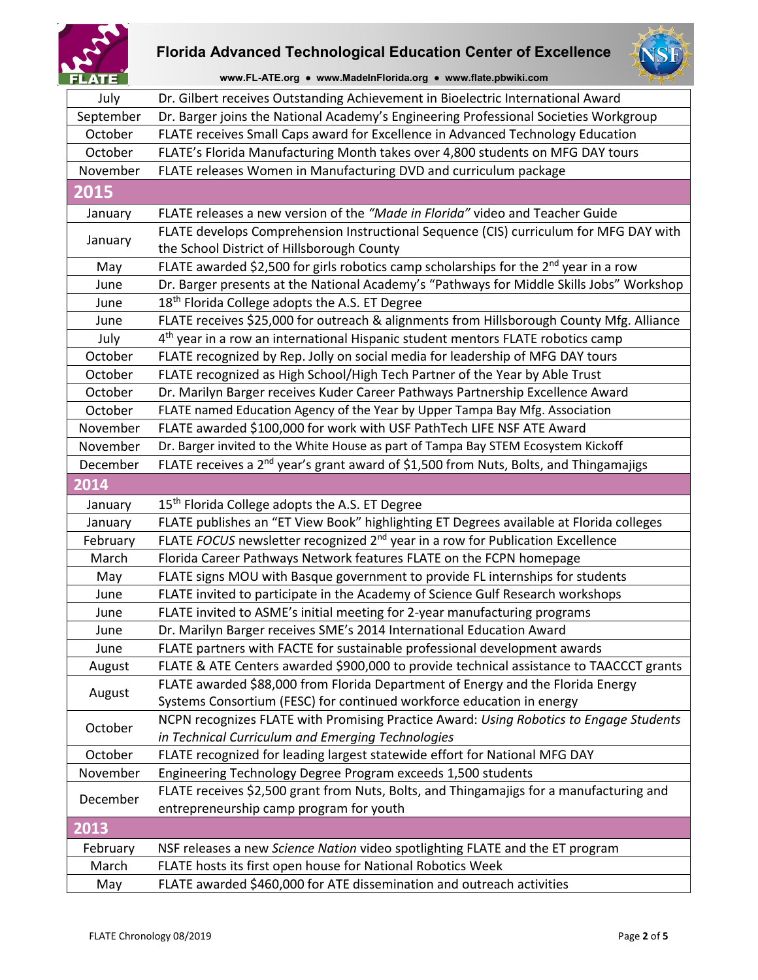



**www.FL-ATE.org ● www.MadeInFlorida.org ● www.flate.pbwiki.com**

| July      | Dr. Gilbert receives Outstanding Achievement in Bioelectric International Award                   |
|-----------|---------------------------------------------------------------------------------------------------|
| September | Dr. Barger joins the National Academy's Engineering Professional Societies Workgroup              |
| October   | FLATE receives Small Caps award for Excellence in Advanced Technology Education                   |
| October   | FLATE's Florida Manufacturing Month takes over 4,800 students on MFG DAY tours                    |
| November  | FLATE releases Women in Manufacturing DVD and curriculum package                                  |
| 2015      |                                                                                                   |
| January   | FLATE releases a new version of the "Made in Florida" video and Teacher Guide                     |
|           | FLATE develops Comprehension Instructional Sequence (CIS) curriculum for MFG DAY with             |
| January   | the School District of Hillsborough County                                                        |
| May       | FLATE awarded \$2,500 for girls robotics camp scholarships for the 2 <sup>nd</sup> year in a row  |
| June      | Dr. Barger presents at the National Academy's "Pathways for Middle Skills Jobs" Workshop          |
| June      | 18 <sup>th</sup> Florida College adopts the A.S. ET Degree                                        |
| June      | FLATE receives \$25,000 for outreach & alignments from Hillsborough County Mfg. Alliance          |
| July      | 4 <sup>th</sup> year in a row an international Hispanic student mentors FLATE robotics camp       |
| October   | FLATE recognized by Rep. Jolly on social media for leadership of MFG DAY tours                    |
| October   | FLATE recognized as High School/High Tech Partner of the Year by Able Trust                       |
| October   | Dr. Marilyn Barger receives Kuder Career Pathways Partnership Excellence Award                    |
| October   | FLATE named Education Agency of the Year by Upper Tampa Bay Mfg. Association                      |
| November  | FLATE awarded \$100,000 for work with USF PathTech LIFE NSF ATE Award                             |
| November  | Dr. Barger invited to the White House as part of Tampa Bay STEM Ecosystem Kickoff                 |
| December  | FLATE receives a 2 <sup>nd</sup> year's grant award of \$1,500 from Nuts, Bolts, and Thingamajigs |
| 2014      |                                                                                                   |
| January   | 15 <sup>th</sup> Florida College adopts the A.S. ET Degree                                        |
| January   | FLATE publishes an "ET View Book" highlighting ET Degrees available at Florida colleges           |
| February  | FLATE FOCUS newsletter recognized 2 <sup>nd</sup> year in a row for Publication Excellence        |
| March     | Florida Career Pathways Network features FLATE on the FCPN homepage                               |
| May       | FLATE signs MOU with Basque government to provide FL internships for students                     |
| June      | FLATE invited to participate in the Academy of Science Gulf Research workshops                    |
| June      | FLATE invited to ASME's initial meeting for 2-year manufacturing programs                         |
| June      | Dr. Marilyn Barger receives SME's 2014 International Education Award                              |
| June      | FLATE partners with FACTE for sustainable professional development awards                         |
| August    | FLATE & ATE Centers awarded \$900,000 to provide technical assistance to TAACCCT grants           |
|           | FLATE awarded \$88,000 from Florida Department of Energy and the Florida Energy                   |
| August    | Systems Consortium (FESC) for continued workforce education in energy                             |
|           | NCPN recognizes FLATE with Promising Practice Award: Using Robotics to Engage Students            |
| October   | in Technical Curriculum and Emerging Technologies                                                 |
| October   | FLATE recognized for leading largest statewide effort for National MFG DAY                        |
| November  | Engineering Technology Degree Program exceeds 1,500 students                                      |
|           | FLATE receives \$2,500 grant from Nuts, Bolts, and Thingamajigs for a manufacturing and           |
| December  | entrepreneurship camp program for youth                                                           |
| 2013      |                                                                                                   |
|           |                                                                                                   |
| February  | NSF releases a new Science Nation video spotlighting FLATE and the ET program                     |
| March     | FLATE hosts its first open house for National Robotics Week                                       |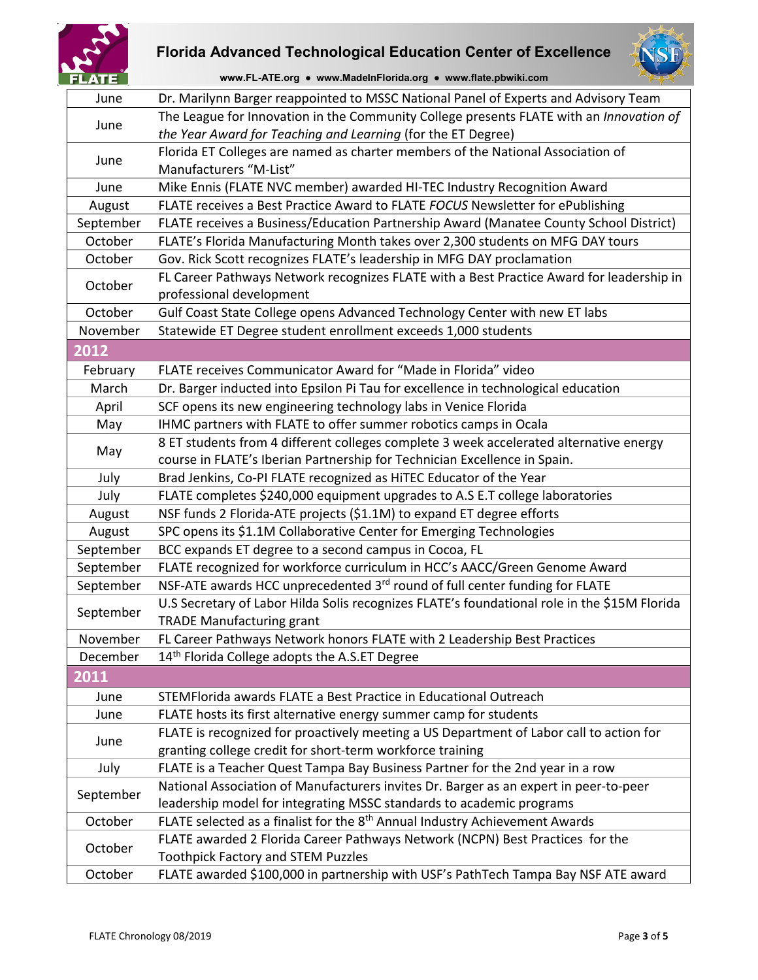



**www.FL-ATE.org ● www.MadeInFlorida.org ● www.flate.pbwiki.com**

| June      | Dr. Marilynn Barger reappointed to MSSC National Panel of Experts and Advisory Team          |
|-----------|----------------------------------------------------------------------------------------------|
| June      | The League for Innovation in the Community College presents FLATE with an Innovation of      |
|           | the Year Award for Teaching and Learning (for the ET Degree)                                 |
| June      | Florida ET Colleges are named as charter members of the National Association of              |
|           | Manufacturers "M-List"                                                                       |
| June      | Mike Ennis (FLATE NVC member) awarded HI-TEC Industry Recognition Award                      |
| August    | FLATE receives a Best Practice Award to FLATE FOCUS Newsletter for ePublishing               |
| September | FLATE receives a Business/Education Partnership Award (Manatee County School District)       |
| October   | FLATE's Florida Manufacturing Month takes over 2,300 students on MFG DAY tours               |
| October   | Gov. Rick Scott recognizes FLATE's leadership in MFG DAY proclamation                        |
| October   | FL Career Pathways Network recognizes FLATE with a Best Practice Award for leadership in     |
|           | professional development                                                                     |
| October   | Gulf Coast State College opens Advanced Technology Center with new ET labs                   |
| November  | Statewide ET Degree student enrollment exceeds 1,000 students                                |
| 2012      |                                                                                              |
| February  | FLATE receives Communicator Award for "Made in Florida" video                                |
| March     | Dr. Barger inducted into Epsilon Pi Tau for excellence in technological education            |
| April     | SCF opens its new engineering technology labs in Venice Florida                              |
| May       | IHMC partners with FLATE to offer summer robotics camps in Ocala                             |
|           | 8 ET students from 4 different colleges complete 3 week accelerated alternative energy       |
| May       | course in FLATE's Iberian Partnership for Technician Excellence in Spain.                    |
| July      | Brad Jenkins, Co-PI FLATE recognized as HiTEC Educator of the Year                           |
| July      | FLATE completes \$240,000 equipment upgrades to A.S E.T college laboratories                 |
| August    | NSF funds 2 Florida-ATE projects (\$1.1M) to expand ET degree efforts                        |
| August    | SPC opens its \$1.1M Collaborative Center for Emerging Technologies                          |
| September | BCC expands ET degree to a second campus in Cocoa, FL                                        |
| September | FLATE recognized for workforce curriculum in HCC's AACC/Green Genome Award                   |
| September | NSF-ATE awards HCC unprecedented 3rd round of full center funding for FLATE                  |
|           | U.S Secretary of Labor Hilda Solis recognizes FLATE's foundational role in the \$15M Florida |
| September | <b>TRADE Manufacturing grant</b>                                                             |
| November  | FL Career Pathways Network honors FLATE with 2 Leadership Best Practices                     |
| December  | 14 <sup>th</sup> Florida College adopts the A.S.ET Degree                                    |
| 2011      |                                                                                              |
| June      | STEMFlorida awards FLATE a Best Practice in Educational Outreach                             |
| June      | FLATE hosts its first alternative energy summer camp for students                            |
|           | FLATE is recognized for proactively meeting a US Department of Labor call to action for      |
| June      | granting college credit for short-term workforce training                                    |
| July      | FLATE is a Teacher Quest Tampa Bay Business Partner for the 2nd year in a row                |
| September | National Association of Manufacturers invites Dr. Barger as an expert in peer-to-peer        |
|           | leadership model for integrating MSSC standards to academic programs                         |
| October   | FLATE selected as a finalist for the 8 <sup>th</sup> Annual Industry Achievement Awards      |
| October   | FLATE awarded 2 Florida Career Pathways Network (NCPN) Best Practices for the                |
|           | <b>Toothpick Factory and STEM Puzzles</b>                                                    |
| October   | FLATE awarded \$100,000 in partnership with USF's PathTech Tampa Bay NSF ATE award           |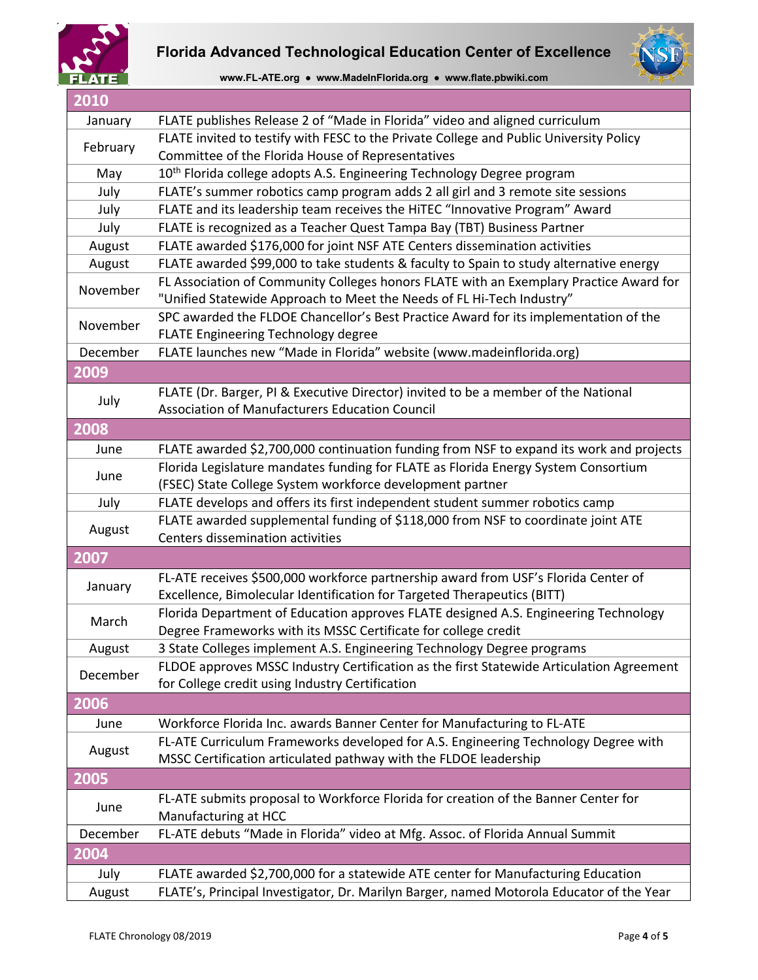





| 2010     |                                                                                                                                                                 |
|----------|-----------------------------------------------------------------------------------------------------------------------------------------------------------------|
| January  | FLATE publishes Release 2 of "Made in Florida" video and aligned curriculum                                                                                     |
| February | FLATE invited to testify with FESC to the Private College and Public University Policy                                                                          |
|          | Committee of the Florida House of Representatives                                                                                                               |
| May      | 10 <sup>th</sup> Florida college adopts A.S. Engineering Technology Degree program                                                                              |
| July     | FLATE's summer robotics camp program adds 2 all girl and 3 remote site sessions                                                                                 |
| July     | FLATE and its leadership team receives the HiTEC "Innovative Program" Award                                                                                     |
| July     | FLATE is recognized as a Teacher Quest Tampa Bay (TBT) Business Partner                                                                                         |
| August   | FLATE awarded \$176,000 for joint NSF ATE Centers dissemination activities                                                                                      |
| August   | FLATE awarded \$99,000 to take students & faculty to Spain to study alternative energy                                                                          |
| November | FL Association of Community Colleges honors FLATE with an Exemplary Practice Award for<br>"Unified Statewide Approach to Meet the Needs of FL Hi-Tech Industry" |
|          | SPC awarded the FLDOE Chancellor's Best Practice Award for its implementation of the                                                                            |
| November | FLATE Engineering Technology degree                                                                                                                             |
| December | FLATE launches new "Made in Florida" website (www.madeinflorida.org)                                                                                            |
| 2009     |                                                                                                                                                                 |
| July     | FLATE (Dr. Barger, PI & Executive Director) invited to be a member of the National<br>Association of Manufacturers Education Council                            |
| 2008     |                                                                                                                                                                 |
| June     | FLATE awarded \$2,700,000 continuation funding from NSF to expand its work and projects                                                                         |
| June     | Florida Legislature mandates funding for FLATE as Florida Energy System Consortium<br>(FSEC) State College System workforce development partner                 |
| July     | FLATE develops and offers its first independent student summer robotics camp                                                                                    |
| August   | FLATE awarded supplemental funding of \$118,000 from NSF to coordinate joint ATE<br>Centers dissemination activities                                            |
| 2007     |                                                                                                                                                                 |
|          | FL-ATE receives \$500,000 workforce partnership award from USF's Florida Center of                                                                              |
| January  | Excellence, Bimolecular Identification for Targeted Therapeutics (BITT)                                                                                         |
|          | Florida Department of Education approves FLATE designed A.S. Engineering Technology                                                                             |
| March    | Degree Frameworks with its MSSC Certificate for college credit                                                                                                  |
| August   | 3 State Colleges implement A.S. Engineering Technology Degree programs                                                                                          |
|          | FLDOE approves MSSC Industry Certification as the first Statewide Articulation Agreement                                                                        |
| December | for College credit using Industry Certification                                                                                                                 |
| 2006     |                                                                                                                                                                 |
| June     | Workforce Florida Inc. awards Banner Center for Manufacturing to FL-ATE                                                                                         |
|          | FL-ATE Curriculum Frameworks developed for A.S. Engineering Technology Degree with                                                                              |
| August   | MSSC Certification articulated pathway with the FLDOE leadership                                                                                                |
| 2005     |                                                                                                                                                                 |
| June     | FL-ATE submits proposal to Workforce Florida for creation of the Banner Center for                                                                              |
|          | Manufacturing at HCC                                                                                                                                            |
| December | FL-ATE debuts "Made in Florida" video at Mfg. Assoc. of Florida Annual Summit                                                                                   |
| 2004     |                                                                                                                                                                 |
| July     | FLATE awarded \$2,700,000 for a statewide ATE center for Manufacturing Education                                                                                |
| August   | FLATE's, Principal Investigator, Dr. Marilyn Barger, named Motorola Educator of the Year                                                                        |